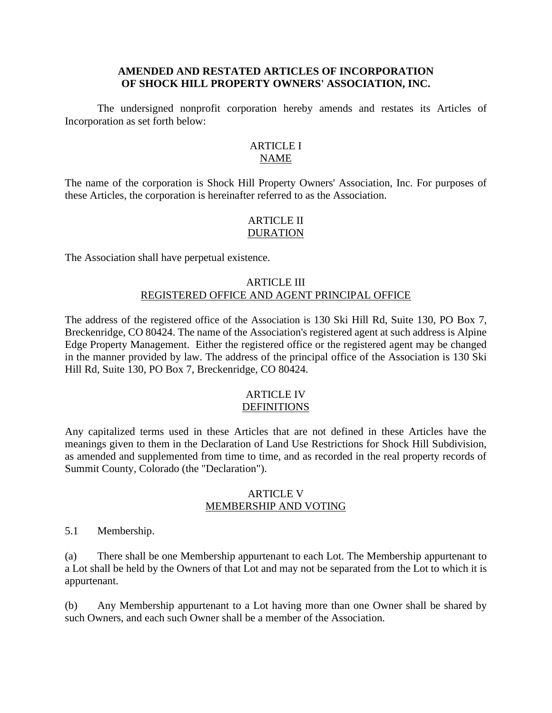# **AMENDED AND RESTATED ARTICLES OF INCORPORATION OF SHOCK HILL PROPERTY OWNERS' ASSOCIATION, INC.**

The undersigned nonprofit corporation hereby amends and restates its Articles of Incorporation as set forth below:

### **ARTICLE I** NAME

The name of the corporation is Shock Hill Property Owners' Association, Inc. For purposes of these Articles, the corporation is hereinafter referred to as the Association.

# ARTICLE II DURATION

The Association shall have perpetual existence.

# ARTICLE III REGISTERED OFFICE AND AGENT PRINCIPAL OFFICE

The address of the registered office of the Association is 130 Ski Hill Rd, Suite 130, PO Box 7, Breckenridge, CO 80424. The name of the Association's registered agent at such address is Alpine Edge Property Management. Either the registered office or the registered agent may be changed in the manner provided by law. The address of the principal office of the Association is 130 Ski Hill Rd, Suite 130, PO Box 7, Breckenridge, CO 80424.

#### ARTICLE IV **DEFINITIONS**

Any capitalized terms used in these Articles that are not defined in these Articles have the meanings given to them in the Declaration of Land Use Restrictions for Shock Hill Subdivision, as amended and supplemented from time to time, and as recorded in the real property records of Summit County, Colorado (the "Declaration").

### ARTICLE V MEMBERSHIP AND VOTING

5.1 Membership.

(a) There shall be one Membership appurtenant to each Lot. The Membership appurtenant to a Lot shall be held by the Owners of that Lot and may not be separated from the Lot to which it is appurtenant.

(b) Any Membership appurtenant to a Lot having more than one Owner shall be shared by such Owners, and each such Owner shall be a member of the Association.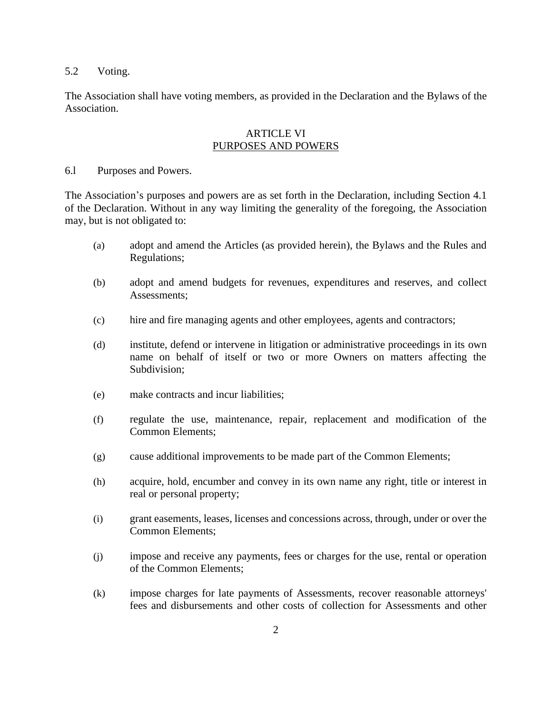# 5.2 Voting.

The Association shall have voting members, as provided in the Declaration and the Bylaws of the Association.

### ARTICLE VI PURPOSES AND POWERS

### 6.l Purposes and Powers.

The Association's purposes and powers are as set forth in the Declaration, including Section 4.1 of the Declaration. Without in any way limiting the generality of the foregoing, the Association may, but is not obligated to:

- (a) adopt and amend the Articles (as provided herein), the Bylaws and the Rules and Regulations;
- (b) adopt and amend budgets for revenues, expenditures and reserves, and collect Assessments;
- (c) hire and fire managing agents and other employees, agents and contractors;
- (d) institute, defend or intervene in litigation or administrative proceedings in its own name on behalf of itself or two or more Owners on matters affecting the Subdivision;
- (e) make contracts and incur liabilities;
- (f) regulate the use, maintenance, repair, replacement and modification of the Common Elements;
- (g) cause additional improvements to be made part of the Common Elements;
- (h) acquire, hold, encumber and convey in its own name any right, title or interest in real or personal property;
- (i) grant easements, leases, licenses and concessions across, through, under or over the Common Elements;
- (j) impose and receive any payments, fees or charges for the use, rental or operation of the Common Elements;
- (k) impose charges for late payments of Assessments, recover reasonable attorneys' fees and disbursements and other costs of collection for Assessments and other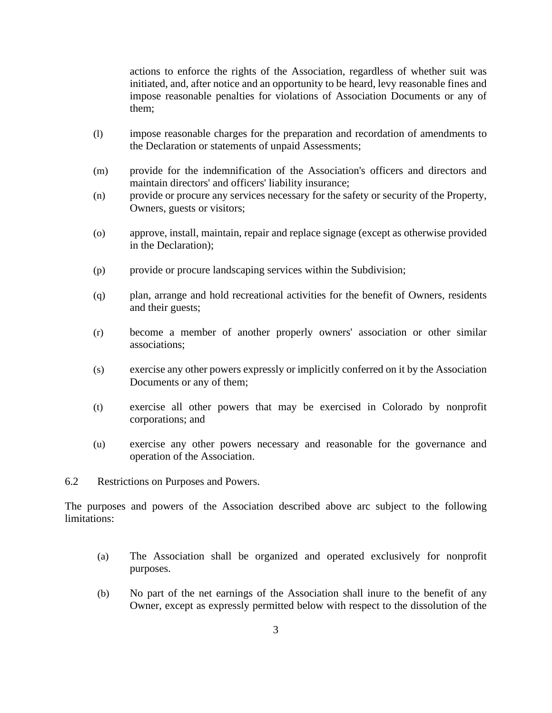actions to enforce the rights of the Association, regardless of whether suit was initiated, and, after notice and an opportunity to be heard, levy reasonable fines and impose reasonable penalties for violations of Association Documents or any of them;

- (l) impose reasonable charges for the preparation and recordation of amendments to the Declaration or statements of unpaid Assessments;
- (m) provide for the indemnification of the Association's officers and directors and maintain directors' and officers' liability insurance;
- (n) provide or procure any services necessary for the safety or security of the Property, Owners, guests or visitors;
- (o) approve, install, maintain, repair and replace signage (except as otherwise provided in the Declaration);
- (p) provide or procure landscaping services within the Subdivision;
- (q) plan, arrange and hold recreational activities for the benefit of Owners, residents and their guests;
- (r) become a member of another properly owners' association or other similar associations;
- (s) exercise any other powers expressly or implicitly conferred on it by the Association Documents or any of them;
- (t) exercise all other powers that may be exercised in Colorado by nonprofit corporations; and
- (u) exercise any other powers necessary and reasonable for the governance and operation of the Association.

6.2 Restrictions on Purposes and Powers.

The purposes and powers of the Association described above arc subject to the following limitations:

- (a) The Association shall be organized and operated exclusively for nonprofit purposes.
- (b) No part of the net earnings of the Association shall inure to the benefit of any Owner, except as expressly permitted below with respect to the dissolution of the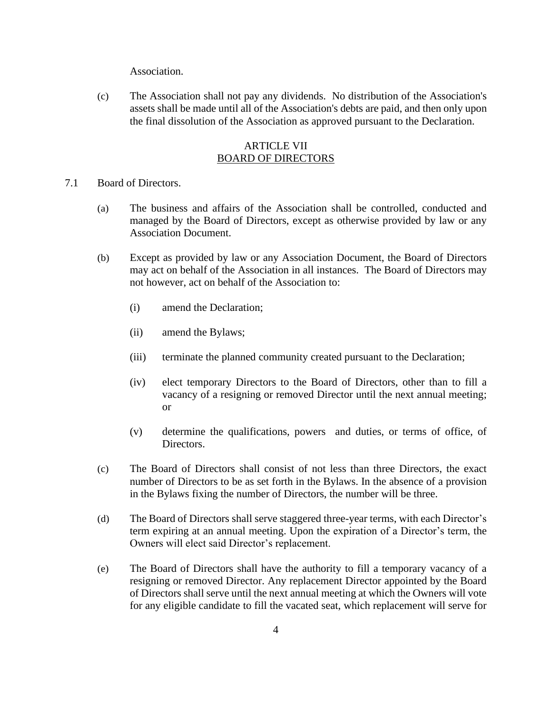Association.

(c) The Association shall not pay any dividends. No distribution of the Association's assets shall be made until all of the Association's debts are paid, and then only upon the final dissolution of the Association as approved pursuant to the Declaration.

# ARTICLE VII BOARD OF DIRECTORS

- 7.1 Board of Directors.
	- (a) The business and affairs of the Association shall be controlled, conducted and managed by the Board of Directors, except as otherwise provided by law or any Association Document.
	- (b) Except as provided by law or any Association Document, the Board of Directors may act on behalf of the Association in all instances. The Board of Directors may not however, act on behalf of the Association to:
		- (i) amend the Declaration;
		- (ii) amend the Bylaws;
		- (iii) terminate the planned community created pursuant to the Declaration;
		- (iv) elect temporary Directors to the Board of Directors, other than to fill a vacancy of a resigning or removed Director until the next annual meeting; or
		- (v) determine the qualifications, powers and duties, or terms of office, of Directors.
	- (c) The Board of Directors shall consist of not less than three Directors, the exact number of Directors to be as set forth in the Bylaws. In the absence of a provision in the Bylaws fixing the number of Directors, the number will be three.
	- (d) The Board of Directors shall serve staggered three-year terms, with each Director's term expiring at an annual meeting. Upon the expiration of a Director's term, the Owners will elect said Director's replacement.
	- (e) The Board of Directors shall have the authority to fill a temporary vacancy of a resigning or removed Director. Any replacement Director appointed by the Board of Directors shall serve until the next annual meeting at which the Owners will vote for any eligible candidate to fill the vacated seat, which replacement will serve for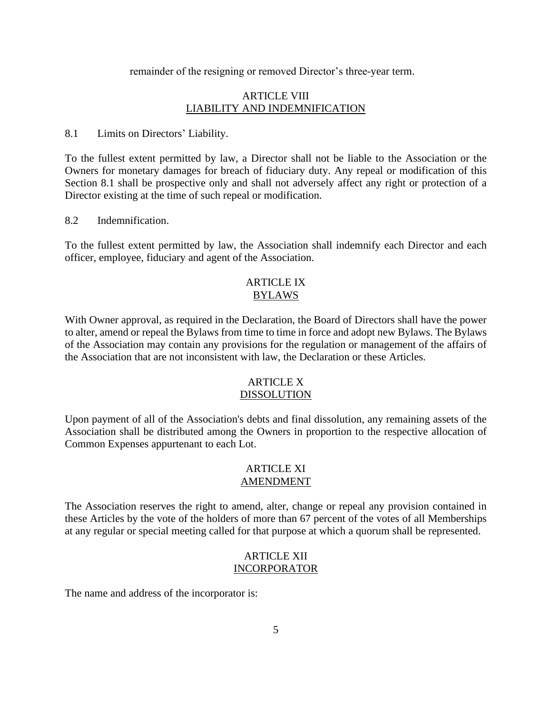remainder of the resigning or removed Director's three-year term.

# ARTICLE VIII LIABILITY AND INDEMNIFICATION

8.1 Limits on Directors' Liability.

To the fullest extent permitted by law, a Director shall not be liable to the Association or the Owners for monetary damages for breach of fiduciary duty. Any repeal or modification of this Section 8.1 shall be prospective only and shall not adversely affect any right or protection of a Director existing at the time of such repeal or modification.

8.2 Indemnification.

To the fullest extent permitted by law, the Association shall indemnify each Director and each officer, employee, fiduciary and agent of the Association.

### ARTICLE IX BYLAWS

With Owner approval, as required in the Declaration, the Board of Directors shall have the power to alter, amend or repeal the Bylaws from time to time in force and adopt new Bylaws. The Bylaws of the Association may contain any provisions for the regulation or management of the affairs of the Association that are not inconsistent with law, the Declaration or these Articles.

### ARTICLE X DISSOLUTION

Upon payment of all of the Association's debts and final dissolution, any remaining assets of the Association shall be distributed among the Owners in proportion to the respective allocation of Common Expenses appurtenant to each Lot.

#### ARTICLE XI AMENDMENT

The Association reserves the right to amend, alter, change or repeal any provision contained in these Articles by the vote of the holders of more than 67 percent of the votes of all Memberships at any regular or special meeting called for that purpose at which a quorum shall be represented.

### ARTICLE XII INCORPORATOR

The name and address of the incorporator is: